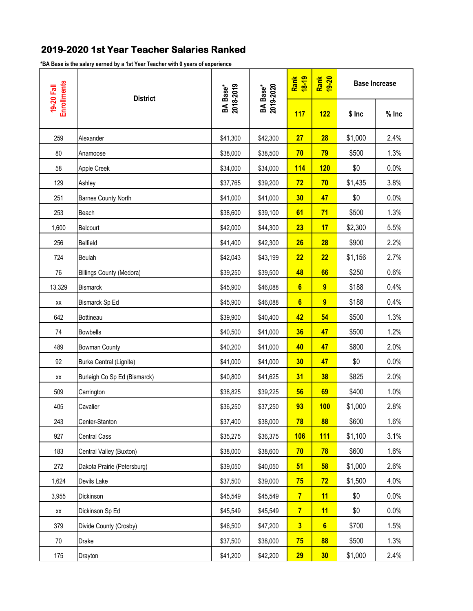## **2019-2020 1st Year Teacher Salaries Ranked**

**\*BA Base is the salary earned by a 1st Year Teacher with 0 years of experience**

| <b>Enrollments</b><br>19-20 Fall |                                 |                                   |                                   | Rank<br>18-19  | Rank<br>19-20 | <b>Base Increase</b> |         |
|----------------------------------|---------------------------------|-----------------------------------|-----------------------------------|----------------|---------------|----------------------|---------|
|                                  | <b>District</b>                 | 2018-2019<br>BA Base <sup>*</sup> | 2019-2020<br>BA Base <sup>*</sup> | 117            | 122           | $$$ Inc              | $%$ Inc |
| 259                              | Alexander                       | \$41,300                          | \$42,300                          | 27             | 28            | \$1,000              | 2.4%    |
| 80                               | Anamoose                        | \$38,000                          | \$38,500                          | 70             | 79            | \$500                | 1.3%    |
| 58                               | Apple Creek                     | \$34,000                          | \$34,000                          | <b>114</b>     | 120           | \$0                  | 0.0%    |
| 129                              | Ashley                          | \$37,765                          | \$39,200                          | 72             | 70            | \$1,435              | 3.8%    |
| 251                              | Barnes County North             | \$41,000                          | \$41,000                          | 30             | 47            | \$0                  | 0.0%    |
| 253                              | Beach                           | \$38,600                          | \$39,100                          | 61             | 71            | \$500                | 1.3%    |
| 1,600                            | Belcourt                        | \$42,000                          | \$44,300                          | 23             | 17            | \$2,300              | 5.5%    |
| 256                              | Belfield                        | \$41,400                          | \$42,300                          | 26             | 28            | \$900                | 2.2%    |
| 724                              | Beulah                          | \$42,043                          | \$43,199                          | 22             | 22            | \$1,156              | 2.7%    |
| 76                               | <b>Billings County (Medora)</b> | \$39,250                          | \$39,500                          | 48             | 66            | \$250                | 0.6%    |
| 13,329                           | Bismarck                        | \$45,900                          | \$46,088                          | $6\phantom{a}$ | 9             | \$188                | 0.4%    |
| XX                               | Bismarck Sp Ed                  | \$45,900                          | \$46,088                          | $6\phantom{a}$ | 9             | \$188                | 0.4%    |
| 642                              | Bottineau                       | \$39,900                          | \$40,400                          | 42             | 54            | \$500                | 1.3%    |
| 74                               | <b>Bowbells</b>                 | \$40,500                          | \$41,000                          | 36             | 47            | \$500                | 1.2%    |
| 489                              | <b>Bowman County</b>            | \$40,200                          | \$41,000                          | 40             | 47            | \$800                | 2.0%    |
| 92                               | Burke Central (Lignite)         | \$41,000                          | \$41,000                          | 30             | 47            | \$0                  | 0.0%    |
| XX                               | Burleigh Co Sp Ed (Bismarck)    | \$40,800                          | \$41,625                          | 31             | 38            | \$825                | 2.0%    |
| 509                              | Carrington                      | \$38,825                          | \$39,225                          | 56             | 69            | \$400                | 1.0%    |
| 405                              | Cavalier                        | \$36,250                          | \$37,250                          | 93             | 100           | \$1,000              | 2.8%    |
| 243                              | Center-Stanton                  | \$37,400                          | \$38,000                          | 78             | 88            | \$600                | 1.6%    |
| 927                              | <b>Central Cass</b>             | \$35,275                          | \$36,375                          | 106            | <b>111</b>    | \$1,100              | 3.1%    |
| 183                              | Central Valley (Buxton)         | \$38,000                          | \$38,600                          | 70             | 78            | \$600                | 1.6%    |
| 272                              | Dakota Prairie (Petersburg)     | \$39,050                          | \$40,050                          | 51             | 58            | \$1,000              | 2.6%    |
| 1,624                            | Devils Lake                     | \$37,500                          | \$39,000                          | 75             | 72            | \$1,500              | 4.0%    |
| 3,955                            | Dickinson                       | \$45,549                          | \$45,549                          | $\overline{7}$ | 11            | \$0                  | 0.0%    |
| XX                               | Dickinson Sp Ed                 | \$45,549                          | \$45,549                          | $\overline{7}$ | 11            | \$0                  | 0.0%    |
| 379                              | Divide County (Crosby)          | \$46,500                          | \$47,200                          | 3 <sup>2</sup> | 6             | \$700                | 1.5%    |
| 70                               | Drake                           | \$37,500                          | \$38,000                          | 75             | 88            | \$500                | 1.3%    |
| 175                              | Drayton                         | \$41,200                          | \$42,200                          | 29             | 30            | \$1,000              | 2.4%    |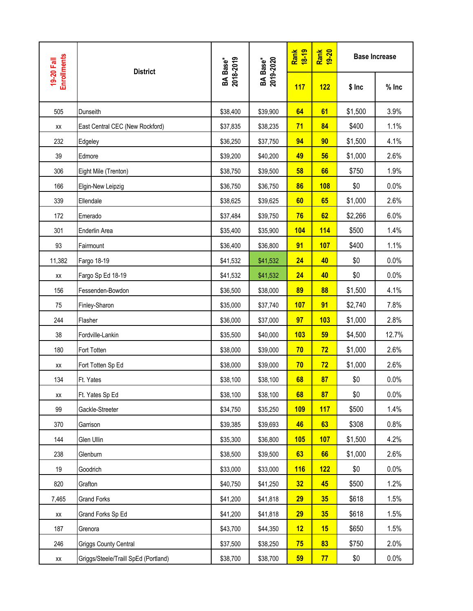| <b>Enrollments</b><br>19-20 Fall | <b>District</b>                      |                              |                              | Rank<br>18-19 | Rank<br>19-20 |         | <b>Base Increase</b> |
|----------------------------------|--------------------------------------|------------------------------|------------------------------|---------------|---------------|---------|----------------------|
|                                  |                                      | <b>BA Base*</b><br>2018-2019 | <b>BA Base*</b><br>2019-2020 | 117           | 122           | $$$ Inc | $%$ Inc              |
| 505                              | Dunseith                             | \$38,400                     | \$39,900                     | 64            | 61            | \$1,500 | 3.9%                 |
| XX                               | East Central CEC (New Rockford)      | \$37,835                     | \$38,235                     | 71            | 84            | \$400   | 1.1%                 |
| 232                              | Edgeley                              | \$36,250                     | \$37,750                     | 94            | 90            | \$1,500 | 4.1%                 |
| 39                               | Edmore                               | \$39,200                     | \$40,200                     | 49            | 56            | \$1,000 | 2.6%                 |
| 306                              | Eight Mile (Trenton)                 | \$38,750                     | \$39,500                     | 58            | 66            | \$750   | 1.9%                 |
| 166                              | Elgin-New Leipzig                    | \$36,750                     | \$36,750                     | 86            | <b>108</b>    | \$0     | 0.0%                 |
| 339                              | Ellendale                            | \$38,625                     | \$39,625                     | 60            | 65            | \$1,000 | 2.6%                 |
| 172                              | Emerado                              | \$37,484                     | \$39,750                     | 76            | 62            | \$2,266 | 6.0%                 |
| 301                              | Enderlin Area                        | \$35,400                     | \$35,900                     | 104           | <b>114</b>    | \$500   | 1.4%                 |
| 93                               | Fairmount                            | \$36,400                     | \$36,800                     | 91            | <b>107</b>    | \$400   | 1.1%                 |
| 11,382                           | Fargo 18-19                          | \$41,532                     | \$41,532                     | 24            | 40            | \$0     | 0.0%                 |
| XX                               | Fargo Sp Ed 18-19                    | \$41,532                     | \$41,532                     | 24            | 40            | \$0     | 0.0%                 |
| 156                              | Fessenden-Bowdon                     | \$36,500                     | \$38,000                     | 89            | 88            | \$1,500 | 4.1%                 |
| 75                               | Finley-Sharon                        | \$35,000                     | \$37,740                     | 107           | 91            | \$2,740 | 7.8%                 |
| 244                              | Flasher                              | \$36,000                     | \$37,000                     | 97            | 103           | \$1,000 | 2.8%                 |
| 38                               | Fordville-Lankin                     | \$35,500                     | \$40,000                     | 103           | 59            | \$4,500 | 12.7%                |
| 180                              | Fort Totten                          | \$38,000                     | \$39,000                     | 70            | 72            | \$1,000 | 2.6%                 |
| XX                               | Fort Totten Sp Ed                    | \$38,000                     | \$39,000                     | 70            | 72            | \$1,000 | 2.6%                 |
| 134                              | Ft. Yates                            | \$38,100                     | \$38,100                     | 68            | 87            | \$0     | 0.0%                 |
| XX                               | Ft. Yates Sp Ed                      | \$38,100                     | \$38,100                     | 68            | 87            | \$0     | 0.0%                 |
| 99                               | Gackle-Streeter                      | \$34,750                     | \$35,250                     | <b>109</b>    | 117           | \$500   | 1.4%                 |
| 370                              | Garrison                             | \$39,385                     | \$39,693                     | 46            | 63            | \$308   | 0.8%                 |
| 144                              | Glen Ullin                           | \$35,300                     | \$36,800                     | 105           | <b>107</b>    | \$1,500 | 4.2%                 |
| 238                              | Glenburn                             | \$38,500                     | \$39,500                     | 63            | 66            | \$1,000 | 2.6%                 |
| 19                               | Goodrich                             | \$33,000                     | \$33,000                     | <b>116</b>    | 122           | \$0     | 0.0%                 |
| 820                              | Grafton                              | \$40,750                     | \$41,250                     | 32            | 45            | \$500   | 1.2%                 |
| 7,465                            | <b>Grand Forks</b>                   | \$41,200                     | \$41,818                     | 29            | 35            | \$618   | 1.5%                 |
| XX                               | Grand Forks Sp Ed                    | \$41,200                     | \$41,818                     | 29            | 35            | \$618   | 1.5%                 |
| 187                              | Grenora                              | \$43,700                     | \$44,350                     | 12            | 15            | \$650   | 1.5%                 |
| 246                              | Griggs County Central                | \$37,500                     | \$38,250                     | 75            | 83            | \$750   | 2.0%                 |
| XX                               | Griggs/Steele/Traill SpEd (Portland) | \$38,700                     | \$38,700                     | 59            | 77            | \$0     | 0.0%                 |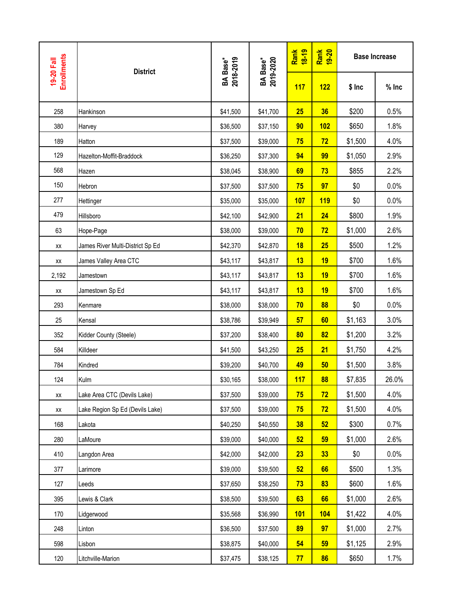| <b>Enrollments</b> | <b>District</b>                  |                              |                              | Rank<br>18-19 | Rank<br>19-20 | <b>Base Increase</b> |         |
|--------------------|----------------------------------|------------------------------|------------------------------|---------------|---------------|----------------------|---------|
| 19-20 Fall         |                                  | <b>BA Base*</b><br>2018-2019 | <b>BA Base*</b><br>2019-2020 | 117           | 122           | $$$ Inc              | $%$ Inc |
| 258                | Hankinson                        | \$41,500                     | \$41,700                     | 25            | 36            | \$200                | 0.5%    |
| 380                | Harvey                           | \$36,500                     | \$37,150                     | 90            | 102           | \$650                | 1.8%    |
| 189                | Hatton                           | \$37,500                     | \$39,000                     | 75            | 72            | \$1,500              | 4.0%    |
| 129                | Hazelton-Moffit-Braddock         | \$36,250                     | \$37,300                     | 94            | 99            | \$1,050              | 2.9%    |
| 568                | Hazen                            | \$38,045                     | \$38,900                     | 69            | 73            | \$855                | 2.2%    |
| 150                | Hebron                           | \$37,500                     | \$37,500                     | 75            | 97            | \$0                  | 0.0%    |
| 277                | Hettinger                        | \$35,000                     | \$35,000                     | 107           | <b>119</b>    | \$0                  | 0.0%    |
| 479                | Hillsboro                        | \$42,100                     | \$42,900                     | 21            | 24            | \$800                | 1.9%    |
| 63                 | Hope-Page                        | \$38,000                     | \$39,000                     | 70            | 72            | \$1,000              | 2.6%    |
| XX                 | James River Multi-District Sp Ed | \$42,370                     | \$42,870                     | 18            | 25            | \$500                | 1.2%    |
| XX                 | James Valley Area CTC            | \$43,117                     | \$43,817                     | 13            | 19            | \$700                | 1.6%    |
| 2,192              | Jamestown                        | \$43,117                     | \$43,817                     | 13            | 19            | \$700                | 1.6%    |
| XX                 | Jamestown Sp Ed                  | \$43,117                     | \$43,817                     | 13            | 19            | \$700                | 1.6%    |
| 293                | Kenmare                          | \$38,000                     | \$38,000                     | 70            | 88            | \$0                  | 0.0%    |
| 25                 | Kensal                           | \$38,786                     | \$39,949                     | 57            | 60            | \$1,163              | 3.0%    |
| 352                | Kidder County (Steele)           | \$37,200                     | \$38,400                     | 80            | 82            | \$1,200              | 3.2%    |
| 584                | Killdeer                         | \$41,500                     | \$43,250                     | 25            | 21            | \$1,750              | 4.2%    |
| 784                | Kindred                          | \$39,200                     | \$40,700                     | 49            | 50            | \$1,500              | 3.8%    |
| 124                | Kulm                             | \$30,165                     | \$38,000                     | 117           | 88            | \$7,835              | 26.0%   |
| XX                 | Lake Area CTC (Devils Lake)      | \$37,500                     | \$39,000                     | 75            | 72            | \$1,500              | 4.0%    |
| XX                 | Lake Region Sp Ed (Devils Lake)  | \$37,500                     | \$39,000                     | 75            | 72            | \$1,500              | 4.0%    |
| 168                | Lakota                           | \$40,250                     | \$40,550                     | 38            | 52            | \$300                | 0.7%    |
| 280                | LaMoure                          | \$39,000                     | \$40,000                     | 52            | 59            | \$1,000              | 2.6%    |
| 410                | Langdon Area                     | \$42,000                     | \$42,000                     | 23            | 33            | \$0                  | 0.0%    |
| 377                | Larimore                         | \$39,000                     | \$39,500                     | 52            | 66            | \$500                | 1.3%    |
| 127                | Leeds                            | \$37,650                     | \$38,250                     | 73            | 83            | \$600                | 1.6%    |
| 395                | Lewis & Clark                    | \$38,500                     | \$39,500                     | 63            | 66            | \$1,000              | 2.6%    |
| 170                | Lidgerwood                       | \$35,568                     | \$36,990                     | <b>101</b>    | 104           | \$1,422              | 4.0%    |
| 248                | Linton                           | \$36,500                     | \$37,500                     | 89            | 97            | \$1,000              | 2.7%    |
| 598                | Lisbon                           | \$38,875                     | \$40,000                     | 54            | 59            | \$1,125              | 2.9%    |
| 120                | Litchville-Marion                | \$37,475                     | \$38,125                     | 77            | 86            | \$650                | 1.7%    |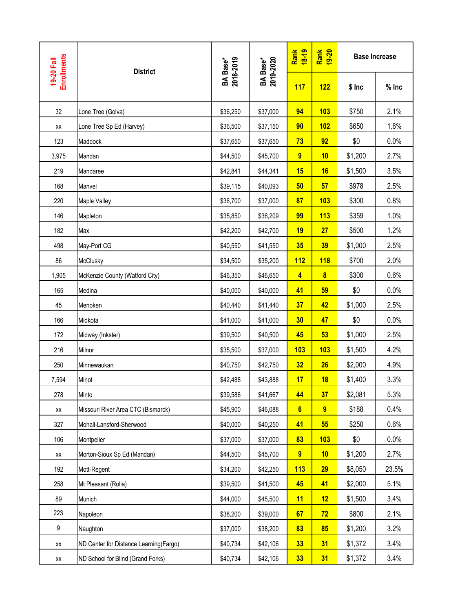| <b>Enrollments</b><br>19-20 Fall | <b>District</b>                        | <b>BA Base*</b><br>2018-2019 |                              | Rank<br>18-19   | Rank<br>19-20           |         | <b>Base Increase</b> |
|----------------------------------|----------------------------------------|------------------------------|------------------------------|-----------------|-------------------------|---------|----------------------|
|                                  |                                        |                              | <b>BA Base*</b><br>2019-2020 | 117             | 122                     | $$$ Inc | $%$ Inc              |
| 32                               | Lone Tree (Golva)                      | \$36,250                     | \$37,000                     | 94              | 103                     | \$750   | 2.1%                 |
| XX                               | Lone Tree Sp Ed (Harvey)               | \$36,500                     | \$37,150                     | 90              | 102                     | \$650   | 1.8%                 |
| 123                              | Maddock                                | \$37,650                     | \$37,650                     | 73              | 92                      | \$0     | 0.0%                 |
| 3,975                            | Mandan                                 | \$44,500                     | \$45,700                     | $\overline{9}$  | 10                      | \$1,200 | 2.7%                 |
| 219                              | Mandaree                               | \$42,841                     | \$44,341                     | 15              | 16                      | \$1,500 | 3.5%                 |
| 168                              | Manvel                                 | \$39,115                     | \$40,093                     | 50              | 57                      | \$978   | 2.5%                 |
| 220                              | Maple Valley                           | \$36,700                     | \$37,000                     | 87              | 103                     | \$300   | 0.8%                 |
| 146                              | Mapleton                               | \$35,850                     | \$36,209                     | 99              | 113                     | \$359   | 1.0%                 |
| 182                              | Max                                    | \$42,200                     | \$42,700                     | 19              | 27                      | \$500   | 1.2%                 |
| 498                              | May-Port CG                            | \$40,550                     | \$41,550                     | 35              | 39                      | \$1,000 | 2.5%                 |
| 86                               | McClusky                               | \$34,500                     | \$35,200                     | 112             | 118                     | \$700   | 2.0%                 |
| 1,905                            | McKenzie County (Watford City)         | \$46,350                     | \$46,650                     | $\overline{4}$  | $\overline{\mathbf{8}}$ | \$300   | 0.6%                 |
| 165                              | Medina                                 | \$40,000                     | \$40,000                     | 41              | 59                      | \$0     | 0.0%                 |
| 45                               | Menoken                                | \$40,440                     | \$41,440                     | 37              | 42                      | \$1,000 | 2.5%                 |
| 166                              | Midkota                                | \$41,000                     | \$41,000                     | 30              | 47                      | \$0     | 0.0%                 |
| 172                              | Midway (Inkster)                       | \$39,500                     | \$40,500                     | 45              | 53                      | \$1,000 | 2.5%                 |
| 216                              | Milnor                                 | \$35,500                     | \$37,000                     | 103             | 103                     | \$1,500 | 4.2%                 |
| 250                              | Minnewaukan                            | \$40,750                     | \$42,750                     | 32              | 26                      | \$2,000 | 4.9%                 |
| 7,594                            | Minot                                  | \$42,488                     | \$43,888                     | 17              | 18                      | \$1,400 | 3.3%                 |
| 278                              | Minto                                  | \$39,586                     | \$41,667                     | 44              | 37                      | \$2,081 | 5.3%                 |
| XX                               | Missouri River Area CTC (Bismarck)     | \$45,900                     | \$46,088                     | 6 <sup>1</sup>  | $\overline{9}$          | \$188   | 0.4%                 |
| 327                              | Mohall-Lansford-Sherwood               | \$40,000                     | \$40,250                     | 41              | 55                      | \$250   | 0.6%                 |
| 106                              | Montpelier                             | \$37,000                     | \$37,000                     | 83              | 103                     | \$0     | 0.0%                 |
| XX                               | Morton-Sioux Sp Ed (Mandan)            | \$44,500                     | \$45,700                     | $\overline{9}$  | 10                      | \$1,200 | 2.7%                 |
| 192                              | Mott-Regent                            | \$34,200                     | \$42,250                     | 113             | 29                      | \$8,050 | 23.5%                |
| 258                              | Mt Pleasant (Rolla)                    | \$39,500                     | \$41,500                     | 45              | 41                      | \$2,000 | 5.1%                 |
| 89                               | Munich                                 | \$44,000                     | \$45,500                     | 11              | 12                      | \$1,500 | 3.4%                 |
| 223                              | Napoleon                               | \$38,200                     | \$39,000                     | 67              | 72                      | \$800   | 2.1%                 |
| 9                                | Naughton                               | \$37,000                     | \$38,200                     | 83              | 85                      | \$1,200 | 3.2%                 |
| XX                               | ND Center for Distance Learning(Fargo) | \$40,734                     | \$42,106                     | 33              | 31                      | \$1,372 | 3.4%                 |
| XX                               | ND School for Blind (Grand Forks)      | \$40,734                     | \$42,106                     | 33 <sub>5</sub> | 31                      | \$1,372 | 3.4%                 |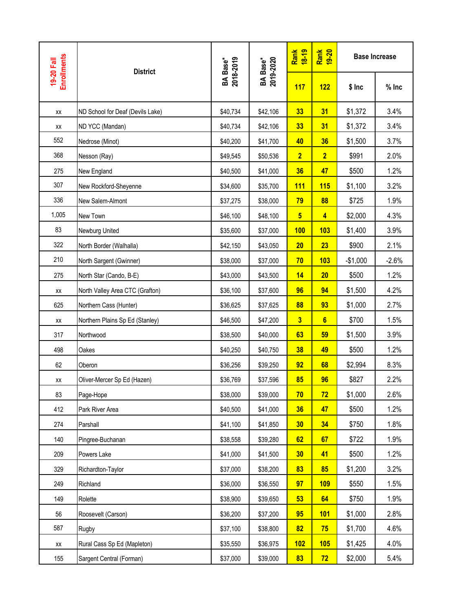| <b>Enrollments</b><br>19-20 Fall | <b>District</b>                  |                              | <b>BA Base*</b><br>2019-2020 | Rank<br>18-19           | Rank<br>19-20  |           | <b>Base Increase</b> |
|----------------------------------|----------------------------------|------------------------------|------------------------------|-------------------------|----------------|-----------|----------------------|
|                                  |                                  | <b>BA Base*</b><br>2018-2019 |                              | 117                     | 122            | $$$ Inc   | $%$ Inc              |
| XX                               | ND School for Deaf (Devils Lake) | \$40,734                     | \$42,106                     | 33                      | 31             | \$1,372   | 3.4%                 |
| XX                               | ND YCC (Mandan)                  | \$40,734                     | \$42,106                     | 33                      | 31             | \$1,372   | 3.4%                 |
| 552                              | Nedrose (Minot)                  | \$40,200                     | \$41,700                     | 40                      | 36             | \$1,500   | 3.7%                 |
| 368                              | Nesson (Ray)                     | \$49,545                     | \$50,536                     | $\overline{2}$          | $\overline{2}$ | \$991     | 2.0%                 |
| 275                              | New England                      | \$40,500                     | \$41,000                     | 36                      | 47             | \$500     | 1.2%                 |
| 307                              | New Rockford-Sheyenne            | \$34,600                     | \$35,700                     | <b>111</b>              | 115            | \$1,100   | 3.2%                 |
| 336                              | New Salem-Almont                 | \$37,275                     | \$38,000                     | 79                      | 88             | \$725     | 1.9%                 |
| 1,005                            | New Town                         | \$46,100                     | \$48,100                     | $5\phantom{a}$          | $\overline{4}$ | \$2,000   | 4.3%                 |
| 83                               | Newburg United                   | \$35,600                     | \$37,000                     | 100                     | <b>103</b>     | \$1,400   | 3.9%                 |
| 322                              | North Border (Walhalla)          | \$42,150                     | \$43,050                     | 20                      | 23             | \$900     | 2.1%                 |
| 210                              | North Sargent (Gwinner)          | \$38,000                     | \$37,000                     | 70                      | 103            | $-$1,000$ | $-2.6%$              |
| 275                              | North Star (Cando, B-E)          | \$43,000                     | \$43,500                     | 14                      | 20             | \$500     | 1.2%                 |
| XX                               | North Valley Area CTC (Grafton)  | \$36,100                     | \$37,600                     | 96                      | 94             | \$1,500   | 4.2%                 |
| 625                              | Northern Cass (Hunter)           | \$36,625                     | \$37,625                     | 88                      | 93             | \$1,000   | 2.7%                 |
| XX                               | Northern Plains Sp Ed (Stanley)  | \$46,500                     | \$47,200                     | $\overline{\mathbf{3}}$ | $6\phantom{a}$ | \$700     | 1.5%                 |
| 317                              | Northwood                        | \$38,500                     | \$40,000                     | 63                      | 59             | \$1,500   | 3.9%                 |
| 498                              | Oakes                            | \$40,250                     | \$40,750                     | 38                      | 49             | \$500     | 1.2%                 |
| 62                               | Oberon                           | \$36,256                     | \$39,250                     | 92                      | 68             | \$2,994   | 8.3%                 |
| XX                               | Oliver-Mercer Sp Ed (Hazen)      | \$36,769                     | \$37,596                     | 85                      | 96             | \$827     | 2.2%                 |
| 83                               | Page-Hope                        | \$38,000                     | \$39,000                     | 70                      | 72             | \$1,000   | 2.6%                 |
| 412                              | Park River Area                  | \$40,500                     | \$41,000                     | 36                      | 47             | \$500     | 1.2%                 |
| 274                              | Parshall                         | \$41,100                     | \$41,850                     | 30                      | 34             | \$750     | 1.8%                 |
| 140                              | Pingree-Buchanan                 | \$38,558                     | \$39,280                     | 62                      | 67             | \$722     | 1.9%                 |
| 209                              | Powers Lake                      | \$41,000                     | \$41,500                     | 30                      | 41             | \$500     | 1.2%                 |
| 329                              | Richardton-Taylor                | \$37,000                     | \$38,200                     | 83                      | 85             | \$1,200   | 3.2%                 |
| 249                              | Richland                         | \$36,000                     | \$36,550                     | 97                      | <b>109</b>     | \$550     | 1.5%                 |
| 149                              | Rolette                          | \$38,900                     | \$39,650                     | 53                      | 64             | \$750     | 1.9%                 |
| 56                               | Roosevelt (Carson)               | \$36,200                     | \$37,200                     | 95                      | <b>101</b>     | \$1,000   | 2.8%                 |
| 587                              | Rugby                            | \$37,100                     | \$38,800                     | 82                      | 75             | \$1,700   | 4.6%                 |
| XX                               | Rural Cass Sp Ed (Mapleton)      | \$35,550                     | \$36,975                     | 102                     | 105            | \$1,425   | 4.0%                 |
| 155                              | Sargent Central (Forman)         | \$37,000                     | \$39,000                     | 83                      | 72             | \$2,000   | 5.4%                 |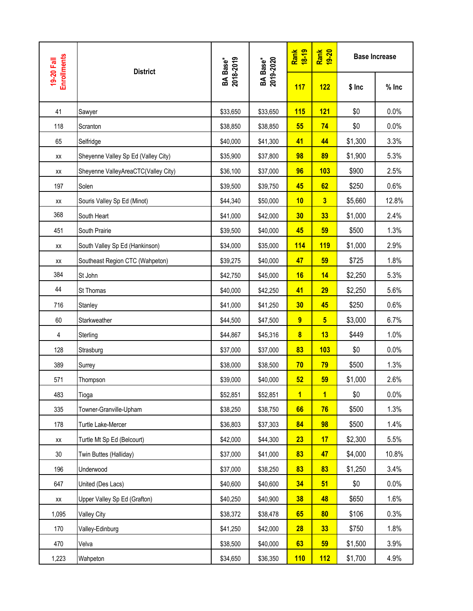| <b>Enrollments</b> |                                     |                              |                              | Rank<br>18-19           | Rank<br>19-20           |         | <b>Base Increase</b> |
|--------------------|-------------------------------------|------------------------------|------------------------------|-------------------------|-------------------------|---------|----------------------|
| 19-20 Fall         | <b>District</b>                     | <b>BA Base*</b><br>2018-2019 | <b>BA Base*</b><br>2019-2020 | 117                     | 122                     | $$$ Inc | $%$ Inc              |
| 41                 | Sawyer                              | \$33,650                     | \$33,650                     | 115                     | 121                     | \$0     | 0.0%                 |
| 118                | Scranton                            | \$38,850                     | \$38,850                     | 55                      | 74                      | \$0     | 0.0%                 |
| 65                 | Selfridge                           | \$40,000                     | \$41,300                     | 41                      | 44                      | \$1,300 | 3.3%                 |
| XX                 | Sheyenne Valley Sp Ed (Valley City) | \$35,900                     | \$37,800                     | 98                      | 89                      | \$1,900 | 5.3%                 |
| XX                 | Sheyenne ValleyAreaCTC(Valley City) | \$36,100                     | \$37,000                     | 96                      | 103                     | \$900   | 2.5%                 |
| 197                | Solen                               | \$39,500                     | \$39,750                     | 45                      | 62                      | \$250   | 0.6%                 |
| ХX                 | Souris Valley Sp Ed (Minot)         | \$44,340                     | \$50,000                     | 10                      | $\overline{\mathbf{3}}$ | \$5,660 | 12.8%                |
| 368                | South Heart                         | \$41,000                     | \$42,000                     | 30                      | 33                      | \$1,000 | 2.4%                 |
| 451                | South Prairie                       | \$39,500                     | \$40,000                     | 45                      | 59                      | \$500   | 1.3%                 |
| XX                 | South Valley Sp Ed (Hankinson)      | \$34,000                     | \$35,000                     | <b>114</b>              | <b>119</b>              | \$1,000 | 2.9%                 |
| XX                 | Southeast Region CTC (Wahpeton)     | \$39,275                     | \$40,000                     | 47                      | 59                      | \$725   | 1.8%                 |
| 384                | St John                             | \$42,750                     | \$45,000                     | 16                      | 14                      | \$2,250 | 5.3%                 |
| 44                 | St Thomas                           | \$40,000                     | \$42,250                     | 41                      | 29                      | \$2,250 | 5.6%                 |
| 716                | Stanley                             | \$41,000                     | \$41,250                     | 30                      | 45                      | \$250   | 0.6%                 |
| 60                 | Starkweather                        | \$44,500                     | \$47,500                     | $\overline{9}$          | 5 <sup>5</sup>          | \$3,000 | 6.7%                 |
| 4                  | Sterling                            | \$44,867                     | \$45,316                     | $\overline{\mathbf{8}}$ | 13                      | \$449   | 1.0%                 |
| 128                | Strasburg                           | \$37,000                     | \$37,000                     | 83                      | 103                     | \$0     | 0.0%                 |
| 389                | Surrey                              | \$38,000                     | \$38,500                     | 70                      | 79                      | \$500   | 1.3%                 |
| 571                | Thompson                            | \$39,000                     | \$40,000                     | 52                      | 59                      | \$1,000 | 2.6%                 |
| 483                | Tioga                               | \$52,851                     | \$52,851                     | $\overline{1}$          | $\overline{1}$          | \$0     | 0.0%                 |
| 335                | Towner-Granville-Upham              | \$38,250                     | \$38,750                     | 66                      | 76                      | \$500   | 1.3%                 |
| 178                | Turtle Lake-Mercer                  | \$36,803                     | \$37,303                     | 84                      | 98                      | \$500   | 1.4%                 |
| XX                 | Turtle Mt Sp Ed (Belcourt)          | \$42,000                     | \$44,300                     | 23                      | 17                      | \$2,300 | 5.5%                 |
| 30 <sub>o</sub>    | Twin Buttes (Halliday)              | \$37,000                     | \$41,000                     | 83                      | 47                      | \$4,000 | 10.8%                |
| 196                | Underwood                           | \$37,000                     | \$38,250                     | 83                      | 83                      | \$1,250 | 3.4%                 |
| 647                | United (Des Lacs)                   | \$40,600                     | \$40,600                     | 34                      | 51                      | \$0     | 0.0%                 |
| XX                 | Upper Valley Sp Ed (Grafton)        | \$40,250                     | \$40,900                     | 38                      | 48                      | \$650   | 1.6%                 |
| 1,095              | <b>Valley City</b>                  | \$38,372                     | \$38,478                     | 65                      | 80                      | \$106   | 0.3%                 |
| 170                | Valley-Edinburg                     | \$41,250                     | \$42,000                     | 28                      | 33                      | \$750   | 1.8%                 |
| 470                | Velva                               | \$38,500                     | \$40,000                     | 63                      | 59                      | \$1,500 | 3.9%                 |
| 1,223              | Wahpeton                            | \$34,650                     | \$36,350                     | 110                     | 112                     | \$1,700 | 4.9%                 |